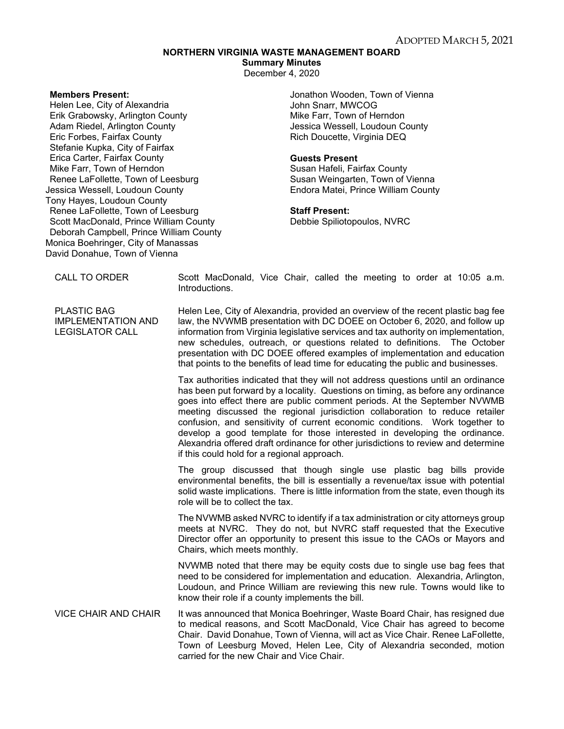# **NORTHERN VIRGINIA WASTE MANAGEMENT BOARD**

**Summary Minutes**

December 4, 2020

#### **Members Present:**

Helen Lee, City of Alexandria Erik Grabowsky, Arlington County Adam Riedel, Arlington County Eric Forbes, Fairfax County Stefanie Kupka, City of Fairfax Erica Carter, Fairfax County Mike Farr, Town of Herndon Renee LaFollette, Town of Leesburg Jessica Wessell, Loudoun County Tony Hayes, Loudoun County Renee LaFollette, Town of Leesburg Scott MacDonald, Prince William County Deborah Campbell, Prince William County Monica Boehringer, City of Manassas David Donahue, Town of Vienna

Jonathon Wooden, Town of Vienna John Snarr, MWCOG Mike Farr, Town of Herndon Jessica Wessell, Loudoun County Rich Doucette, Virginia DEQ

#### **Guests Present**

Susan Hafeli, Fairfax County Susan Weingarten, Town of Vienna Endora Matei, Prince William County

## **Staff Present:**

Debbie Spiliotopoulos, NVRC

PLASTIC BAG IMPLEMENTATION AND LEGISLATOR CALL

CALL TO ORDER Scott MacDonald, Vice Chair, called the meeting to order at 10:05 a.m. Introductions.

> Helen Lee, City of Alexandria, provided an overview of the recent plastic bag fee law, the NVWMB presentation with DC DOEE on October 6, 2020, and follow up information from Virginia legislative services and tax authority on implementation, new schedules, outreach, or questions related to definitions. The October presentation with DC DOEE offered examples of implementation and education that points to the benefits of lead time for educating the public and businesses.

> Tax authorities indicated that they will not address questions until an ordinance has been put forward by a locality. Questions on timing, as before any ordinance goes into effect there are public comment periods. At the September NVWMB meeting discussed the regional jurisdiction collaboration to reduce retailer confusion, and sensitivity of current economic conditions. Work together to develop a good template for those interested in developing the ordinance. Alexandria offered draft ordinance for other jurisdictions to review and determine if this could hold for a regional approach.

> The group discussed that though single use plastic bag bills provide environmental benefits, the bill is essentially a revenue/tax issue with potential solid waste implications. There is little information from the state, even though its role will be to collect the tax.

> The NVWMB asked NVRC to identify if a tax administration or city attorneys group meets at NVRC. They do not, but NVRC staff requested that the Executive Director offer an opportunity to present this issue to the CAOs or Mayors and Chairs, which meets monthly.

> NVWMB noted that there may be equity costs due to single use bag fees that need to be considered for implementation and education. Alexandria, Arlington, Loudoun, and Prince William are reviewing this new rule. Towns would like to know their role if a county implements the bill.

VICE CHAIR AND CHAIR It was announced that Monica Boehringer, Waste Board Chair, has resigned due to medical reasons, and Scott MacDonald, Vice Chair has agreed to become Chair. David Donahue, Town of Vienna, will act as Vice Chair. Renee LaFollette, Town of Leesburg Moved, Helen Lee, City of Alexandria seconded, motion carried for the new Chair and Vice Chair.